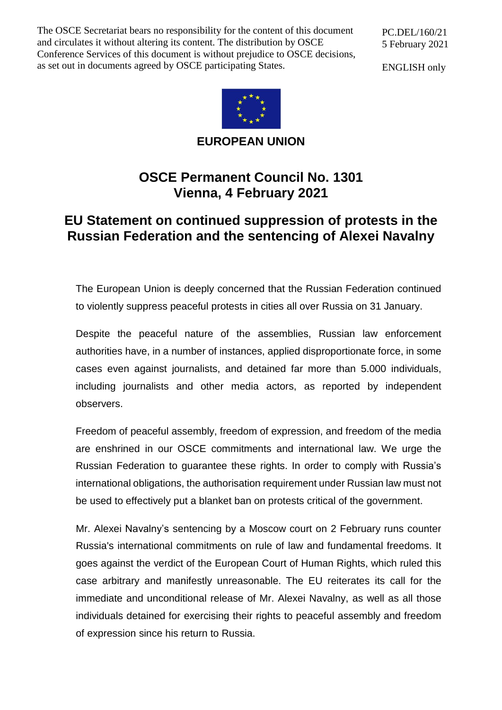The OSCE Secretariat bears no responsibility for the content of this document and circulates it without altering its content. The distribution by OSCE Conference Services of this document is without prejudice to OSCE decisions, as set out in documents agreed by OSCE participating States.

PC.DEL/160/21 5 February 2021

ENGLISH only



**EUROPEAN UNION**

## **OSCE Permanent Council No. 1301 Vienna, 4 February 2021**

## **EU Statement on continued suppression of protests in the Russian Federation and the sentencing of Alexei Navalny**

The European Union is deeply concerned that the Russian Federation continued to violently suppress peaceful protests in cities all over Russia on 31 January.

Despite the peaceful nature of the assemblies, Russian law enforcement authorities have, in a number of instances, applied disproportionate force, in some cases even against journalists, and detained far more than 5.000 individuals, including journalists and other media actors, as reported by independent observers.

Freedom of peaceful assembly, freedom of expression, and freedom of the media are enshrined in our OSCE commitments and international law. We urge the Russian Federation to guarantee these rights. In order to comply with Russia's international obligations, the authorisation requirement under Russian law must not be used to effectively put a blanket ban on protests critical of the government.

Mr. Alexei Navalny's sentencing by a Moscow court on 2 February runs counter Russia's international commitments on rule of law and fundamental freedoms. It goes against the verdict of the European Court of Human Rights, which ruled this case arbitrary and manifestly unreasonable. The EU reiterates its call for the immediate and unconditional release of Mr. Alexei Navalny, as well as all those individuals detained for exercising their rights to peaceful assembly and freedom of expression since his return to Russia.